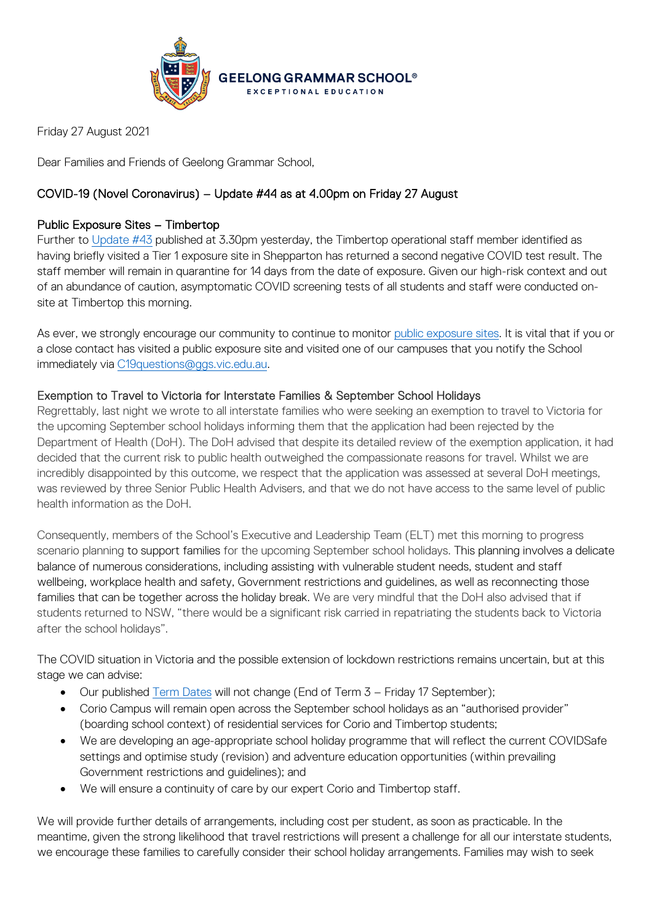

Friday 27 August 2021

Dear Families and Friends of Geelong Grammar School,

# COVID-19 (Novel Coronavirus) – Update #44 as at 4.00pm on Friday 27 August

# Public Exposure Sites – Timbertop

Further to [Update #43](https://www.ggs.vic.edu.au/ArticleDocuments/1007/Coronavirus%20Update%2043_260821.pdf.aspx) published at 3.30pm yesterday, the Timbertop operational staff member identified as having briefly visited a Tier 1 exposure site in Shepparton has returned a second negative COVID test result. The staff member will remain in quarantine for 14 days from the date of exposure. Given our high-risk context and out of an abundance of caution, asymptomatic COVID screening tests of all students and staff were conducted onsite at Timbertop this morning.

As ever, we strongly encourage our community to continue to monitor [public exposure sites.](https://www.coronavirus.vic.gov.au/exposure-sites) It is vital that if you or a close contact has visited a public exposure site and visited one of our campuses that you notify the School immediately via [C19questions@ggs.vic.edu.au.](mailto:C19questions@ggs.vic.edu.au)

## Exemption to Travel to Victoria for Interstate Families & September School Holidays

Regrettably, last night we wrote to all interstate families who were seeking an exemption to travel to Victoria for the upcoming September school holidays informing them that the application had been rejected by the Department of Health (DoH). The DoH advised that despite its detailed review of the exemption application, it had decided that the current risk to public health outweighed the compassionate reasons for travel. Whilst we are incredibly disappointed by this outcome, we respect that the application was assessed at several DoH meetings, was reviewed by three Senior Public Health Advisers, and that we do not have access to the same level of public health information as the DoH.

Consequently, members of the School's Executive and Leadership Team (ELT) met this morning to progress scenario planning to support families for the upcoming September school holidays. This planning involves a delicate balance of numerous considerations, including assisting with vulnerable student needs, student and staff wellbeing, workplace health and safety, Government restrictions and guidelines, as well as reconnecting those families that can be together across the holiday break. We are very mindful that the DoH also advised that if students returned to NSW, "there would be a significant risk carried in repatriating the students back to Victoria after the school holidays".

The COVID situation in Victoria and the possible extension of lockdown restrictions remains uncertain, but at this stage we can advise:

- Our published [Term Dates](https://www.ggs.vic.edu.au/School/Our-School/Term-Dates) will not change (End of Term 3 Friday 17 September);
- Corio Campus will remain open across the September school holidays as an "authorised provider" (boarding school context) of residential services for Corio and Timbertop students;
- We are developing an age-appropriate school holiday programme that will reflect the current COVIDSafe settings and optimise study (revision) and adventure education opportunities (within prevailing Government restrictions and guidelines); and
- We will ensure a continuity of care by our expert Corio and Timbertop staff.

We will provide further details of arrangements, including cost per student, as soon as practicable. In the meantime, given the strong likelihood that travel restrictions will present a challenge for all our interstate students, we encourage these families to carefully consider their school holiday arrangements. Families may wish to seek